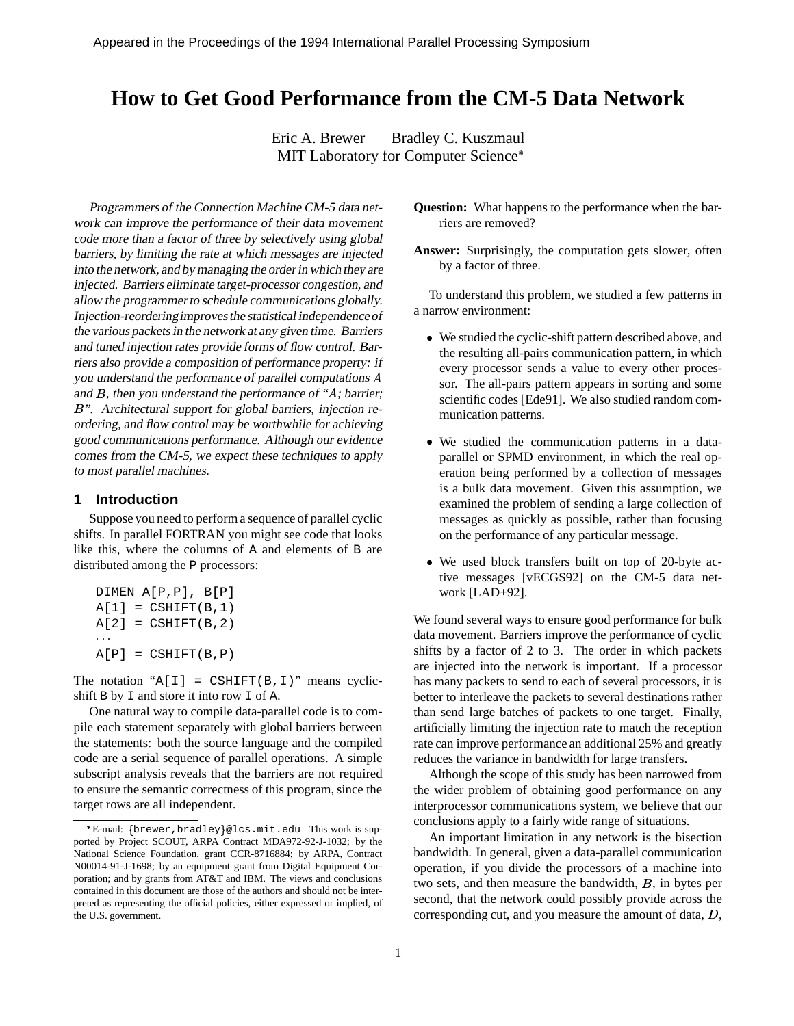# **How to Get Good Performance from the CM-5 Data Network**

Eric A. Brewer Bradley C. Kuszmaul MIT Laboratory for Computer Science\*

Programmers of the Connection Machine CM-5 data network can improve the performance of their data movement code more than <sup>a</sup> factor of three by selectively using global barriers, by limiting the rate at which messages are injected into the network, and by managing the order in which they are injected. Barriers eliminate target-processor congestion, and allow the programmer to schedule communications globally. Injection-reordering improves the statistical independence of the various packets in the network at any given time. Barriers and tuned injection rates provide forms of flow control. Barriers also provide <sup>a</sup> composition of performance property: if you understand the performance of parallel computations A and  $B$ , then you understand the performance of " $A$ ; barrier; B". Architectural support for global barriers, injection reordering, and flow control may be worthwhile for achieving good communications performance. Although our evidence comes from the CM-5, we expect these techniques to apply to most parallel machines.

#### **1 Introduction**

Suppose you need to performa sequence of parallel cyclic shifts. In parallel FORTRAN you might see code that looks like this, where the columns of A and elements of B are distributed among the P processors:

|          | DIMEN A[P, P], B[P]   |
|----------|-----------------------|
|          | $A[1] = CSHIFT(B,1)$  |
|          | $A[2] = CSHIFT(B, 2)$ |
| $\cdots$ |                       |
|          | $A[P] = CSHIFT(B, P)$ |

The notation " $A[I] = CSHIFT(B,I)$ " means cyclicshift B by I and store it into row I of A.

One natural way to compile data-parallel code is to compile each statement separately with global barriers between the statements: both the source language and the compiled code are a serial sequence of parallel operations. A simple subscript analysis reveals that the barriers are not required to ensure the semantic correctness of this program, since the target rows are all independent.

**Question:** What happens to the performance when the barriers are removed?

**Answer:** Surprisingly, the computation gets slower, often by a factor of three.

To understand this problem, we studied a few patterns in a narrow environment:

- We studied the cyclic-shift pattern described above, and the resulting all-pairs communication pattern, in which every processor sends a value to every other processor. The all-pairs pattern appears in sorting and some scientific codes [Ede91]. We also studied random communication patterns.
- We studied the communication patterns in a dataparallel or SPMD environment, in which the real operation being performed by a collection of messages is a bulk data movement. Given this assumption, we examined the problem of sending a large collection of messages as quickly as possible, rather than focusing on the performance of any particular message.
- We used block transfers built on top of 20-byte active messages [vECGS92] on the CM-5 data network [LAD+92].

We found several ways to ensure good performance for bulk data movement. Barriers improve the performance of cyclic shifts by a factor of 2 to 3. The order in which packets are injected into the network is important. If a processor has many packets to send to each of several processors, it is better to interleave the packets to several destinations rather than send large batches of packets to one target. Finally, artificially limiting the injection rate to match the reception rate can improve performance an additional 25% and greatly reduces the variance in bandwidth for large transfers.

Although the scope of this study has been narrowed from the wider problem of obtaining good performance on any interprocessor communications system, we believe that our conclusions apply to a fairly wide range of situations.

An important limitation in any network is the bisection bandwidth. In general, given a data-parallel communication operation, if you divide the processors of a machine into two sets, and then measure the bandwidth,  $B$ , in bytes per second, that the network could possibly provide across the corresponding cut, and you measure the amount of data,  $D$ ,

E-mail: brewer,bradley @lcs.mit.edu This work is supported by Project SCOUT, ARPA Contract MDA972-92-J-1032; by the National Science Foundation, grant CCR-8716884; by ARPA, Contract N00014-91-J-1698; by an equipment grant from Digital Equipment Corporation; and by grants from AT&T and IBM. The views and conclusions contained in this document are those of the authors and should not be interpreted as representing the official policies, either expressed or implied, of the U.S. government.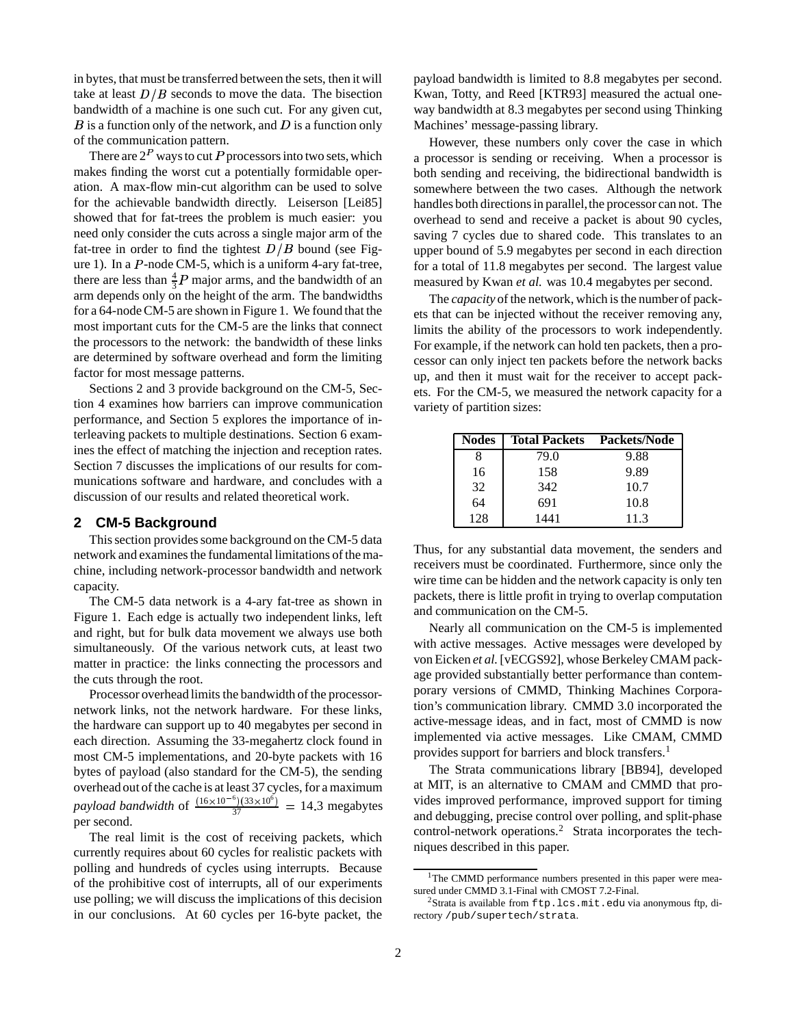in bytes, that must be transferred between the sets, then it will take at least  $D/B$  seconds to move the data. The bisection bandwidth of a machine is one such cut. For any given cut,  $B$  is a function only of the network, and  $D$  is a function only of the communication pattern.

There are  $2^P$  ways to cut P processors into two sets, which makes finding the worst cut a potentially formidable operation. A max-flow min-cut algorithm can be used to solve for the achievable bandwidth directly. Leiserson [Lei85] showed that for fat-trees the problem is much easier: you need only consider the cuts across a single major arm of the fat-tree in order to find the tightest  $D/B$  bound (see Figure 1). In a  $P$ -node CM-5, which is a uniform 4-ary fat-tree, there are less than  $\frac{4}{3}P$  major arms, and the bandwidth of an arm depends only on the height of the arm. The bandwidths for a 64-nodeCM-5 are shown in Figure 1. We found that the most important cuts for the CM-5 are the links that connect the processors to the network: the bandwidth of these links are determined by software overhead and form the limiting factor for most message patterns.

Sections 2 and 3 provide background on the CM-5, Section 4 examines how barriers can improve communication performance, and Section 5 explores the importance of interleaving packets to multiple destinations. Section 6 examines the effect of matching the injection and reception rates. Section 7 discusses the implications of our results for communications software and hardware, and concludes with a discussion of our results and related theoretical work.

## **2 CM-5 Background**

This section provides some background on the CM-5 data network and examines the fundamental limitations of the machine, including network-processor bandwidth and network capacity.

The CM-5 data network is a 4-ary fat-tree as shown in Figure 1. Each edge is actually two independent links, left and right, but for bulk data movement we always use both simultaneously. Of the various network cuts, at least two matter in practice: the links connecting the processors and the cuts through the root.

Processor overhead limits the bandwidth of the processornetwork links, not the network hardware. For these links, the hardware can support up to 40 megabytes per second in each direction. Assuming the 33-megahertz clock found in most CM-5 implementations, and 20-byte packets with 16 bytes of payload (also standard for the CM-5), the sending overhead out of the cache is at least 37 cycles, for a maximum *payload bandwidth* of  $\frac{(16 \times 10^{-6})(33 \times 10^{6})}{37} = 14.3$  megabytes per second.

The real limit is the cost of receiving packets, which currently requires about 60 cycles for realistic packets with polling and hundreds of cycles using interrupts. Because of the prohibitive cost of interrupts, all of our experiments use polling; we will discuss the implications of this decision in our conclusions. At 60 cycles per 16-byte packet, the payload bandwidth is limited to 8.8 megabytes per second. Kwan, Totty, and Reed [KTR93] measured the actual oneway bandwidth at 8.3 megabytes per second using Thinking Machines' message-passing library.

However, these numbers only cover the case in which a processor is sending or receiving. When a processor is both sending and receiving, the bidirectional bandwidth is somewhere between the two cases. Although the network handles both directions in parallel, the processor can not. The overhead to send and receive a packet is about 90 cycles, saving 7 cycles due to shared code. This translates to an upper bound of 5.9 megabytes per second in each direction for a total of 11.8 megabytes per second. The largest value measured by Kwan *et al.* was 10.4 megabytes per second.

The *capacity* of the network, which is the number of packets that can be injected without the receiver removing any, limits the ability of the processors to work independently. For example, if the network can hold ten packets, then a processor can only inject ten packets before the network backs up, and then it must wait for the receiver to accept packets. For the CM-5, we measured the network capacity for a variety of partition sizes:

| <b>Nodes</b> |      | <b>Total Packets Packets/Node</b> |
|--------------|------|-----------------------------------|
|              | 79.0 | 9.88                              |
| 16           | 158  | 9.89                              |
| 32           | 342  | 10.7                              |
| 64           | 691  | 10.8                              |
| 128          | 1441 | 11.3                              |

Thus, for any substantial data movement, the senders and receivers must be coordinated. Furthermore, since only the wire time can be hidden and the network capacity is only ten packets, there is little profit in trying to overlap computation and communication on the CM-5.

Nearly all communication on the CM-5 is implemented with active messages. Active messages were developed by von Eicken *et al.* [vECGS92], whose BerkeleyCMAM package provided substantially better performance than contemporary versions of CMMD, Thinking Machines Corporation's communication library. CMMD 3.0 incorporated the active-message ideas, and in fact, most of CMMD is now implemented via active messages. Like CMAM, CMMD provides support for barriers and block transfers.<sup>1</sup>

The Strata communications library [BB94], developed at MIT, is an alternative to CMAM and CMMD that provides improved performance, improved support for timing and debugging, precise control over polling, and split-phase control-network operations.<sup>2</sup> Strata incorporates the techniques described in this paper.

<sup>&</sup>lt;sup>1</sup>The CMMD performance numbers presented in this paper were measured under CMMD 3.1-Final with CMOST 7.2-Final.

 $2$ Strata is available from  $ftp.$  lcs.mit.edu via anonymous ftp, directory /pub/supertech/strata.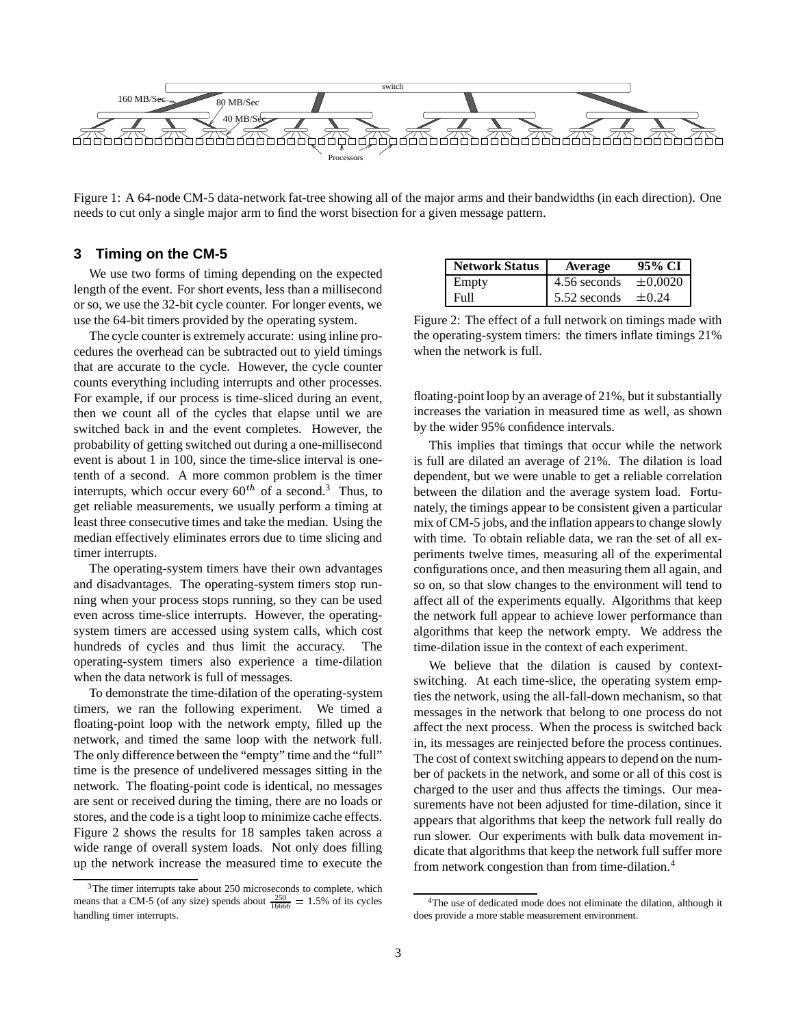

Figure 1: A 64-node CM-5 data-network fat-tree showing all of the major arms and their bandwidths (in each direction). One needs to cut only a single major arm to find the worst bisection for a given message pattern.

### **3 Timing on the CM-5**

We use two forms of timing depending on the expected length of the event. For short events, less than a millisecond or so, we use the 32-bit cycle counter. For longer events, we use the 64-bit timers provided by the operating system.

The cycle counter is extremely accurate: using inline procedures the overhead can be subtracted out to yield timings that are accurate to the cycle. However, the cycle counter counts everything including interrupts and other processes. For example, if our process is time-sliced during an event, then we count all of the cycles that elapse until we are switched back in and the event completes. However, the probability of getting switched out during a one-millisecond event is about 1 in 100, since the time-slice interval is onetenth of a second. A more common problem is the timer interrupts, which occur every  $60^{th}$  of a second.<sup>3</sup> Thus, to get reliable measurements, we usually perform a timing at least three consecutive times and take the median. Using the median effectively eliminates errors due to time slicing and timer interrupts.

The operating-system timers have their own advantages and disadvantages. The operating-system timers stop running when your process stops running, so they can be used even across time-slice interrupts. However, the operatingsystem timers are accessed using system calls, which cost hundreds of cycles and thus limit the accuracy. The operating-system timers also experience a time-dilation when the data network is full of messages.

To demonstrate the time-dilation of the operating-system timers, we ran the following experiment. We timed a floating-point loop with the network empty, filled up the network, and timed the same loop with the network full. The only difference between the "empty" time and the "full" time is the presence of undelivered messages sitting in the network. The floating-point code is identical, no messages are sent or received during the timing, there are no loads or stores, and the code is a tight loop to minimize cache effects. Figure 2 shows the results for 18 samples taken across a wide range of overall system loads. Not only does filling up the network increase the measured time to execute the

| <b>Network Status</b> | <b>Average</b> | 95% CI       |
|-----------------------|----------------|--------------|
| Empty                 | 4.56 seconds   | $\pm 0.0020$ |
| Full                  | 5.52 seconds   | $+0.24$      |

Figure 2: The effect of a full network on timings made with the operating-system timers: the timers inflate timings 21% when the network is full.

floating-point loop by an average of 21%, but it substantially increases the variation in measured time as well, as shown by the wider 95% confidence intervals.

This implies that timings that occur while the network is full are dilated an average of 21%. The dilation is load dependent, but we were unable to get a reliable correlation between the dilation and the average system load. Fortunately, the timings appear to be consistent given a particular mix of CM-5 jobs, and the inflation appears to change slowly with time. To obtain reliable data, we ran the set of all experiments twelve times, measuring all of the experimental configurations once, and then measuring them all again, and so on, so that slow changes to the environment will tend to affect all of the experiments equally. Algorithms that keep the network full appear to achieve lower performance than algorithms that keep the network empty. We address the time-dilation issue in the context of each experiment.

We believe that the dilation is caused by contextswitching. At each time-slice, the operating system empties the network, using the all-fall-down mechanism, so that messages in the network that belong to one process do not affect the next process. When the process is switched back in, its messages are reinjected before the process continues. The cost of context switching appears to depend on the number of packets in the network, and some or all of this cost is charged to the user and thus affects the timings. Our measurements have not been adjusted for time-dilation, since it appears that algorithms that keep the network full really do run slower. Our experiments with bulk data movement indicate that algorithms that keep the network full suffer more from network congestion than from time-dilation.<sup>4</sup>

<sup>&</sup>lt;sup>3</sup>The timer interrupts take about 250 microseconds to complete, which means that a CM-5 (of any size) spends about  $\frac{250}{16666} = 1.5\%$  of its cycles handling timer interrupts.

<sup>4</sup>The use of dedicated mode does not eliminate the dilation, although it does provide a more stable measurement environment.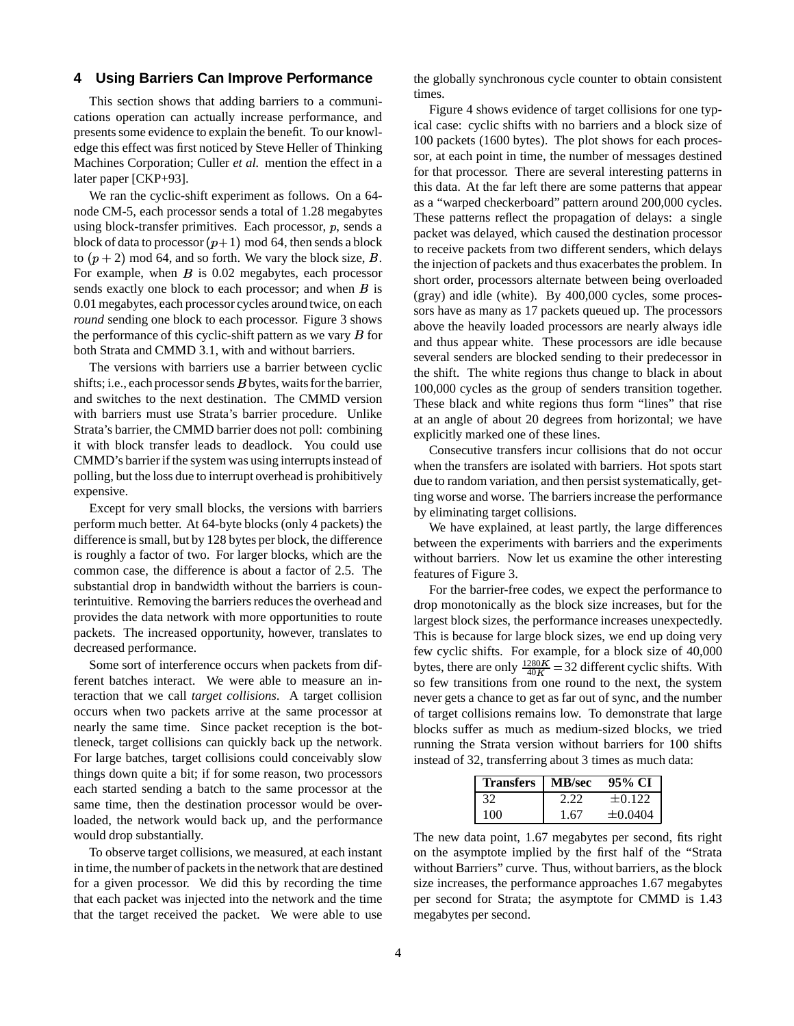#### **4 Using Barriers Can Improve Performance**

This section shows that adding barriers to a communications operation can actually increase performance, and presents some evidence to explain the benefit. To our knowledge this effect was first noticed by Steve Heller of Thinking Machines Corporation; Culler *et al.* mention the effect in a later paper [CKP+93].

We ran the cyclic-shift experiment as follows. On a 64 node CM-5, each processor sends a total of 1.28 megabytes using block-transfer primitives. Each processor,  $p$ , sends a block of data to processor  $(p+1) \mod 64$ , then sends a block to  $(p + 2)$  mod 64, and so forth. We vary the block size, B. For example, when  $B$  is 0.02 megabytes, each processor sends exactly one block to each processor; and when  $B$  is 0.01 megabytes, each processor cycles around twice, on each *round* sending one block to each processor. Figure 3 shows the performance of this cyclic-shift pattern as we vary  $B$  for both Strata and CMMD 3.1, with and without barriers.

The versions with barriers use a barrier between cyclic shifts; i.e., each processor sends  $B$  bytes, waits for the barrier, and switches to the next destination. The CMMD version with barriers must use Strata's barrier procedure. Unlike Strata's barrier, the CMMD barrier does not poll: combining it with block transfer leads to deadlock. You could use CMMD's barrier if the system was using interrupts instead of polling, but the loss due to interrupt overhead is prohibitively expensive.

Except for very small blocks, the versions with barriers perform much better. At 64-byte blocks (only 4 packets) the difference is small, but by 128 bytes per block, the difference is roughly a factor of two. For larger blocks, which are the common case, the difference is about a factor of 2.5. The substantial drop in bandwidth without the barriers is counterintuitive. Removing the barriers reduces the overhead and provides the data network with more opportunities to route packets. The increased opportunity, however, translates to decreased performance.

Some sort of interference occurs when packets from different batches interact. We were able to measure an interaction that we call *target collisions*. A target collision occurs when two packets arrive at the same processor at nearly the same time. Since packet reception is the bottleneck, target collisions can quickly back up the network. For large batches, target collisions could conceivably slow things down quite a bit; if for some reason, two processors each started sending a batch to the same processor at the same time, then the destination processor would be overloaded, the network would back up, and the performance would drop substantially.

To observe target collisions, we measured, at each instant in time, the number of packets in the network that are destined for a given processor. We did this by recording the time that each packet was injected into the network and the time that the target received the packet. We were able to use

the globally synchronous cycle counter to obtain consistent times.

is<br>
(gray) and idle (white). By 400,000 cycles, some procesfor and thus appear white. These processors are idle because Figure 4 shows evidence of target collisions for one typical case: cyclic shifts with no barriers and a block size of 100 packets (1600 bytes). The plot shows for each processor, at each point in time, the number of messages destined for that processor. There are several interesting patterns in this data. At the far left there are some patterns that appear as a "warped checkerboard" pattern around 200,000 cycles. These patterns reflect the propagation of delays: a single packet was delayed, which caused the destination processor to receive packets from two different senders, which delays the injection of packets and thus exacerbates the problem. In short order, processors alternate between being overloaded sors have as many as 17 packets queued up. The processors above the heavily loaded processors are nearly always idle several senders are blocked sending to their predecessor in the shift. The white regions thus change to black in about 100,000 cycles as the group of senders transition together. These black and white regions thus form "lines" that rise at an angle of about 20 degrees from horizontal; we have explicitly marked one of these lines.

> Consecutive transfers incur collisions that do not occur when the transfers are isolated with barriers. Hot spots start due to random variation, and then persist systematically, getting worse and worse. The barriers increase the performance by eliminating target collisions.

> We have explained, at least partly, the large differences between the experiments with barriers and the experiments without barriers. Now let us examine the other interesting features of Figure 3.

> For the barrier-free codes, we expect the performance to drop monotonically as the block size increases, but for the largest block sizes, the performance increases unexpectedly. This is because for large block sizes, we end up doing very few cyclic shifts. For example, for a block size of 40,000 bytes, there are only  $\frac{1280K}{40K} = 32$  different cyclic shifts. With so few transitions from one round to the next, the system never gets a chance to get as far out of sync, and the number of target collisions remains low. To demonstrate that large blocks suffer as much as medium-sized blocks, we tried running the Strata version without barriers for 100 shifts instead of 32, transferring about 3 times as much data:

| <b>Transfers</b>   MB/sec |      | 95% CI       |
|---------------------------|------|--------------|
| 32                        | 222  | $\pm 0.122$  |
| 100.                      | 1.67 | $\pm 0.0404$ |

The new data point, 1.67 megabytes per second, fits right on the asymptote implied by the first half of the "Strata without Barriers" curve. Thus, without barriers, as the block size increases, the performance approaches 1.67 megabytes per second for Strata; the asymptote for CMMD is 1.43 megabytes per second.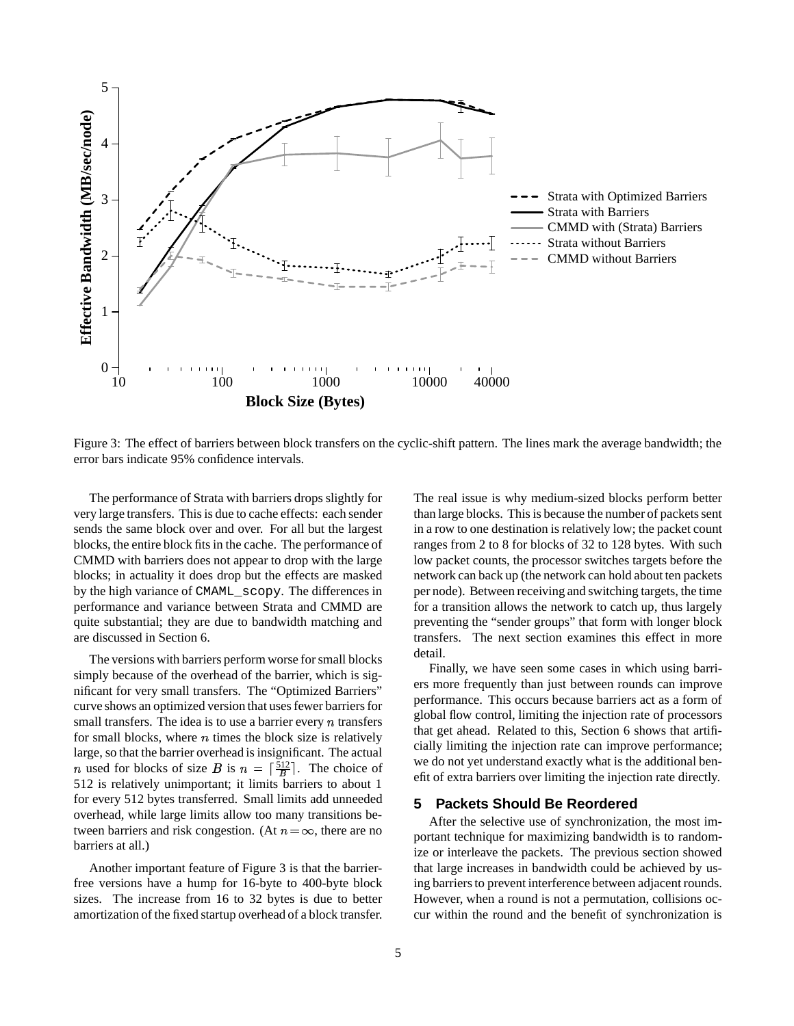

Figure 3: The effect of barriers between block transfers on the cyclic-shift pattern. The lines mark the average bandwidth; the error bars indicate 95% confidence intervals.

The performance of Strata with barriers drops slightly for very large transfers. This is due to cache effects: each sender sends the same block over and over. For all but the largest blocks, the entire block fits in the cache. The performance of CMMD with barriers does not appear to drop with the large blocks; in actuality it does drop but the effects are masked by the high variance of CMAML\_scopy. The differences in performance and variance between Strata and CMMD are quite substantial; they are due to bandwidth matching and are discussed in Section 6.

The versions with barriers perform worse for small blocks simply because of the overhead of the barrier, which is significant for very small transfers. The "Optimized Barriers" curve shows an optimized version that uses fewer barriers for small transfers. The idea is to use a barrier every  $n$  transfers for small blocks, where  $n$  times the block size is relatively large, so that the barrier overhead is insignificant. The actual *n* used for blocks of size *B* is  $n = \lceil \frac{512}{B} \rceil$ . The choice of 512 is relatively unimportant; it limits barriers to about 1 for every 512 bytes transferred. Small limits add unneeded overhead, while large limits allow too many transitions between barriers and risk congestion. (At  $n = \infty$ , there are no barriers at all.)

Another important feature of Figure 3 is that the barrierfree versions have a hump for 16-byte to 400-byte block sizes. The increase from 16 to 32 bytes is due to better amortization of the fixed startup overhead of a block transfer. The real issue is why medium-sized blocks perform better than large blocks. This is because the number of packets sent in a row to one destination is relatively low; the packet count ranges from 2 to 8 for blocks of 32 to 128 bytes. With such low packet counts, the processor switches targets before the network can back up (the network can hold about ten packets per node). Between receiving and switching targets, the time for a transition allows the network to catch up, thus largely preventing the "sender groups" that form with longer block transfers. The next section examines this effect in more detail.

Finally, we have seen some cases in which using barriers more frequently than just between rounds can improve performance. This occurs because barriers act as a form of global flow control, limiting the injection rate of processors that get ahead. Related to this, Section 6 shows that artificially limiting the injection rate can improve performance; we do not yet understand exactly what is the additional benefit of extra barriers over limiting the injection rate directly.

#### **5 Packets Should Be Reordered**

After the selective use of synchronization, the most important technique for maximizing bandwidth is to randomize or interleave the packets. The previous section showed that large increases in bandwidth could be achieved by using barriers to prevent interference between adjacent rounds. However, when a round is not a permutation, collisions occur within the round and the benefit of synchronization is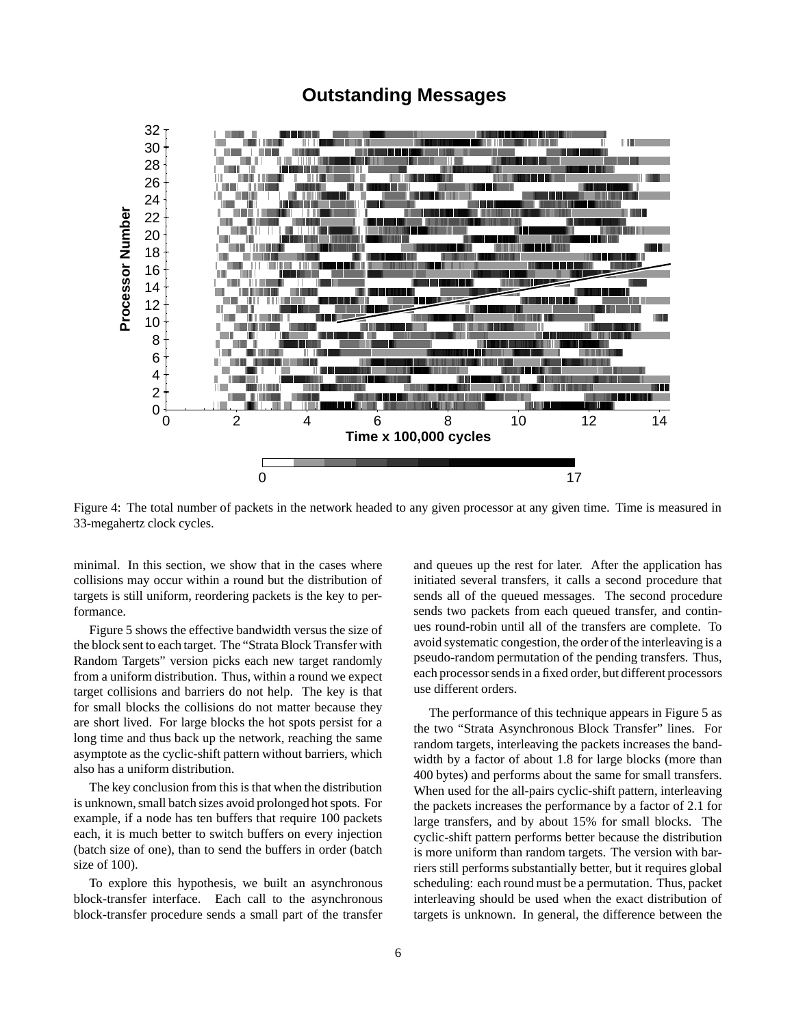



Figure 4: The total number of packets in the network headed to any given processor at any given time. Time is measured in 33-megahertz clock cycles.

minimal. In this section, we show that in the cases where collisions may occur within a round but the distribution of targets is still uniform, reordering packets is the key to performance.

Figure 5 shows the effective bandwidth versus the size of the block sent to each target. The "Strata Block Transfer with Random Targets" version picks each new target randomly from a uniform distribution. Thus, within a round we expect target collisions and barriers do not help. The key is that for small blocks the collisions do not matter because they are short lived. For large blocks the hot spots persist for a long time and thus back up the network, reaching the same asymptote as the cyclic-shift pattern without barriers, which also has a uniform distribution.

The key conclusion from this is that when the distribution is unknown, small batch sizes avoid prolonged hot spots. For example, if a node has ten buffers that require 100 packets each, it is much better to switch buffers on every injection (batch size of one), than to send the buffers in order (batch size of 100).

To explore this hypothesis, we built an asynchronous block-transfer interface. Each call to the asynchronous block-transfer procedure sends a small part of the transfer and queues up the rest for later. After the application has initiated several transfers, it calls a second procedure that sends all of the queued messages. The second procedure sends two packets from each queued transfer, and continues round-robin until all of the transfers are complete. To avoid systematic congestion, the order of the interleaving is a pseudo-random permutation of the pending transfers. Thus, each processor sends in a fixed order, but different processors use different orders.

The performance of this technique appears in Figure 5 as the two "Strata Asynchronous Block Transfer" lines. For random targets, interleaving the packets increases the bandwidth by a factor of about 1.8 for large blocks (more than 400 bytes) and performs about the same for small transfers. When used for the all-pairs cyclic-shift pattern, interleaving the packets increases the performance by a factor of 2.1 for large transfers, and by about 15% for small blocks. The cyclic-shift pattern performs better because the distribution is more uniform than random targets. The version with barriers still performs substantially better, but it requires global scheduling: each round must be a permutation. Thus, packet interleaving should be used when the exact distribution of targets is unknown. In general, the difference between the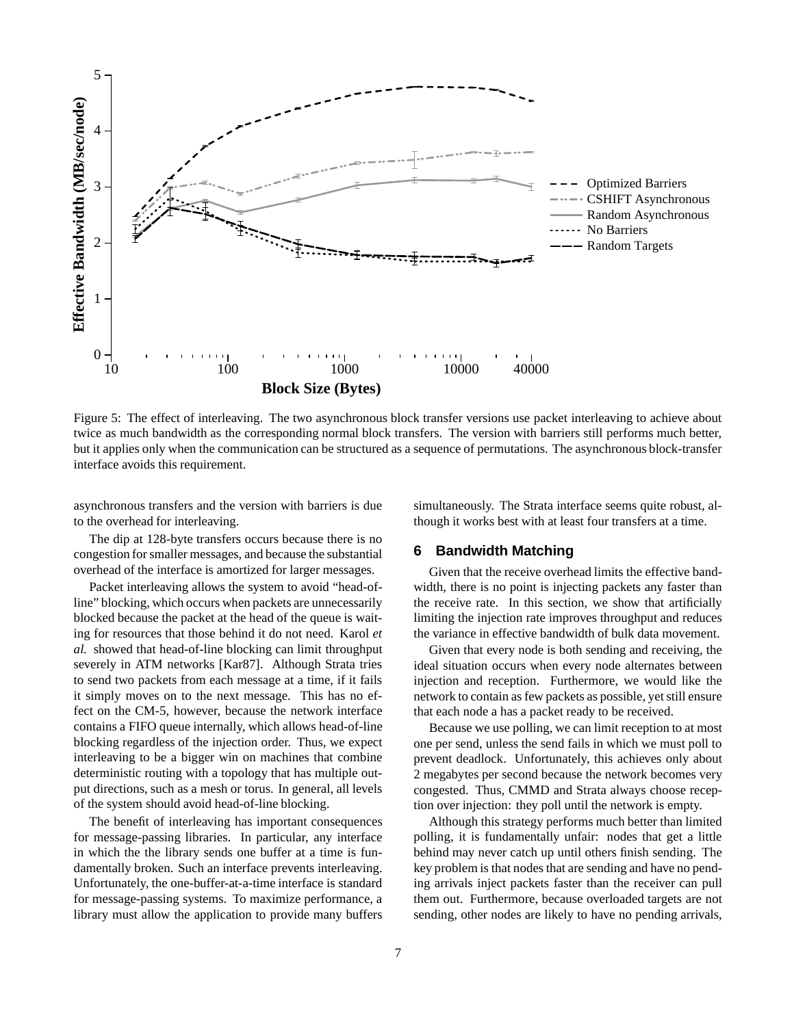

Figure 5: The effect of interleaving. The two asynchronous block transfer versions use packet interleaving to achieve about twice as much bandwidth as the corresponding normal block transfers. The version with barriers still performs much better, but it applies only when the communication can be structured as a sequence of permutations. The asynchronous block-transfer interface avoids this requirement.

asynchronous transfers and the version with barriers is due to the overhead for interleaving.

The dip at 128-byte transfers occurs because there is no congestion forsmaller messages, and because the substantial overhead of the interface is amortized for larger messages.

Packet interleaving allows the system to avoid "head-ofline" blocking, which occurs when packets are unnecessarily blocked because the packet at the head of the queue is waiting for resources that those behind it do not need. Karol *et al.* showed that head-of-line blocking can limit throughput severely in ATM networks [Kar87]. Although Strata tries to send two packets from each message at a time, if it fails it simply moves on to the next message. This has no effect on the CM-5, however, because the network interface contains a FIFO queue internally, which allows head-of-line blocking regardless of the injection order. Thus, we expect interleaving to be a bigger win on machines that combine deterministic routing with a topology that has multiple output directions, such as a mesh or torus. In general, all levels of the system should avoid head-of-line blocking.

The benefit of interleaving has important consequences for message-passing libraries. In particular, any interface in which the the library sends one buffer at a time is fundamentally broken. Such an interface prevents interleaving. Unfortunately, the one-buffer-at-a-time interface is standard for message-passing systems. To maximize performance, a library must allow the application to provide many buffers

simultaneously. The Strata interface seems quite robust, although it works best with at least four transfers at a time.

#### **6 Bandwidth Matching**

Given that the receive overhead limits the effective bandwidth, there is no point is injecting packets any faster than the receive rate. In this section, we show that artificially limiting the injection rate improves throughput and reduces the variance in effective bandwidth of bulk data movement.

Given that every node is both sending and receiving, the ideal situation occurs when every node alternates between injection and reception. Furthermore, we would like the network to contain as few packets as possible, yet still ensure that each node a has a packet ready to be received.

Because we use polling, we can limit reception to at most one per send, unless the send fails in which we must poll to prevent deadlock. Unfortunately, this achieves only about 2 megabytes per second because the network becomes very congested. Thus, CMMD and Strata always choose reception over injection: they poll until the network is empty.

Although this strategy performs much better than limited polling, it is fundamentally unfair: nodes that get a little behind may never catch up until others finish sending. The key problem is that nodes that are sending and have no pending arrivals inject packets faster than the receiver can pull them out. Furthermore, because overloaded targets are not sending, other nodes are likely to have no pending arrivals,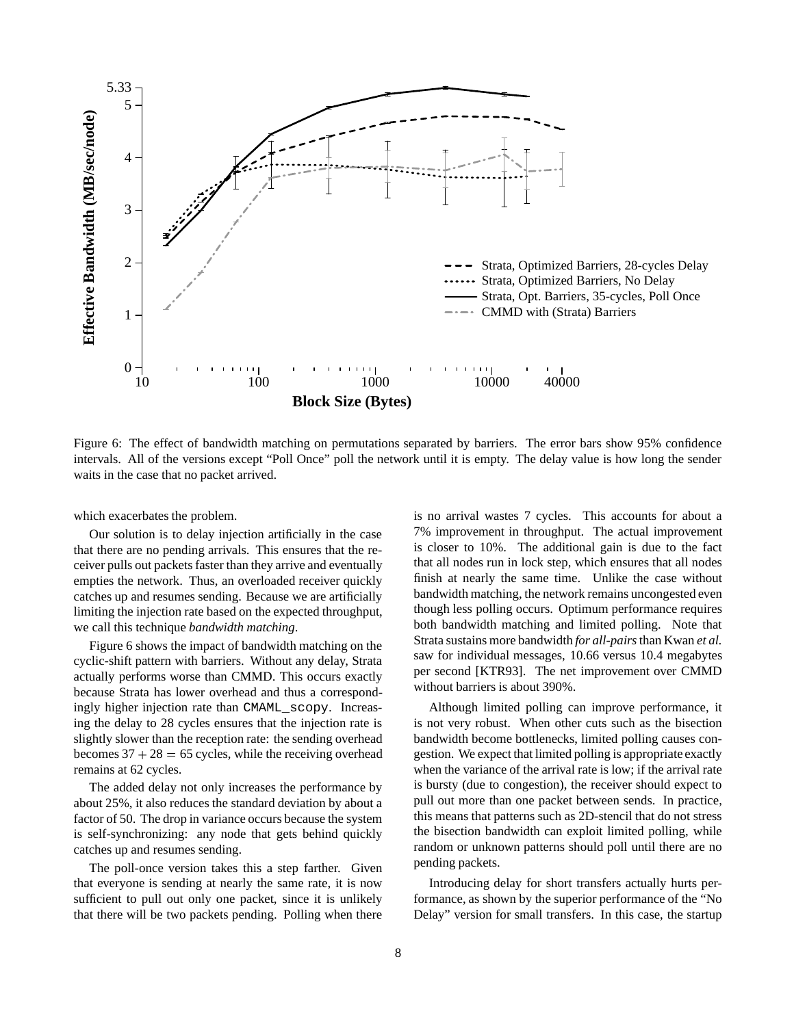

Figure 6: The effect of bandwidth matching on permutations separated by barriers. The error bars show 95% confidence intervals. All of the versions except "Poll Once" poll the network until it is empty. The delay value is how long the sender waits in the case that no packet arrived.

which exacerbates the problem.

Our solution is to delay injection artificially in the case that there are no pending arrivals. This ensures that the receiver pulls out packets faster than they arrive and eventually empties the network. Thus, an overloaded receiver quickly catches up and resumes sending. Because we are artificially limiting the injection rate based on the expected throughput, we call this technique *bandwidth matching*.

Figure 6 shows the impact of bandwidth matching on the cyclic-shift pattern with barriers. Without any delay, Strata actually performs worse than CMMD. This occurs exactly because Strata has lower overhead and thus a correspondingly higher injection rate than CMAML\_scopy. Increasing the delay to 28 cycles ensures that the injection rate is slightly slower than the reception rate: the sending overhead becomes  $37 + 28 = 65$  cycles, while the receiving overhead remains at 62 cycles.

The added delay not only increases the performance by about 25%, it also reduces the standard deviation by about a factor of 50. The drop in variance occurs because the system is self-synchronizing: any node that gets behind quickly catches up and resumes sending.

The poll-once version takes this a step farther. Given that everyone is sending at nearly the same rate, it is now sufficient to pull out only one packet, since it is unlikely that there will be two packets pending. Polling when there is no arrival wastes 7 cycles. This accounts for about a 7% improvement in throughput. The actual improvement is closer to 10%. The additional gain is due to the fact that all nodes run in lock step, which ensures that all nodes finish at nearly the same time. Unlike the case without bandwidth matching, the network remains uncongested even though less polling occurs. Optimum performance requires both bandwidth matching and limited polling. Note that Strata sustains more bandwidth *for all-pairs*than Kwan *et al.* saw for individual messages, 10.66 versus 10.4 megabytes per second [KTR93]. The net improvement over CMMD without barriers is about 390%.

Although limited polling can improve performance, it is not very robust. When other cuts such as the bisection bandwidth become bottlenecks, limited polling causes congestion. We expect that limited polling is appropriate exactly when the variance of the arrival rate is low; if the arrival rate is bursty (due to congestion), the receiver should expect to pull out more than one packet between sends. In practice, this means that patterns such as 2D-stencil that do not stress the bisection bandwidth can exploit limited polling, while random or unknown patterns should poll until there are no pending packets.

Introducing delay for short transfers actually hurts performance, as shown by the superior performance of the "No Delay" version for small transfers. In this case, the startup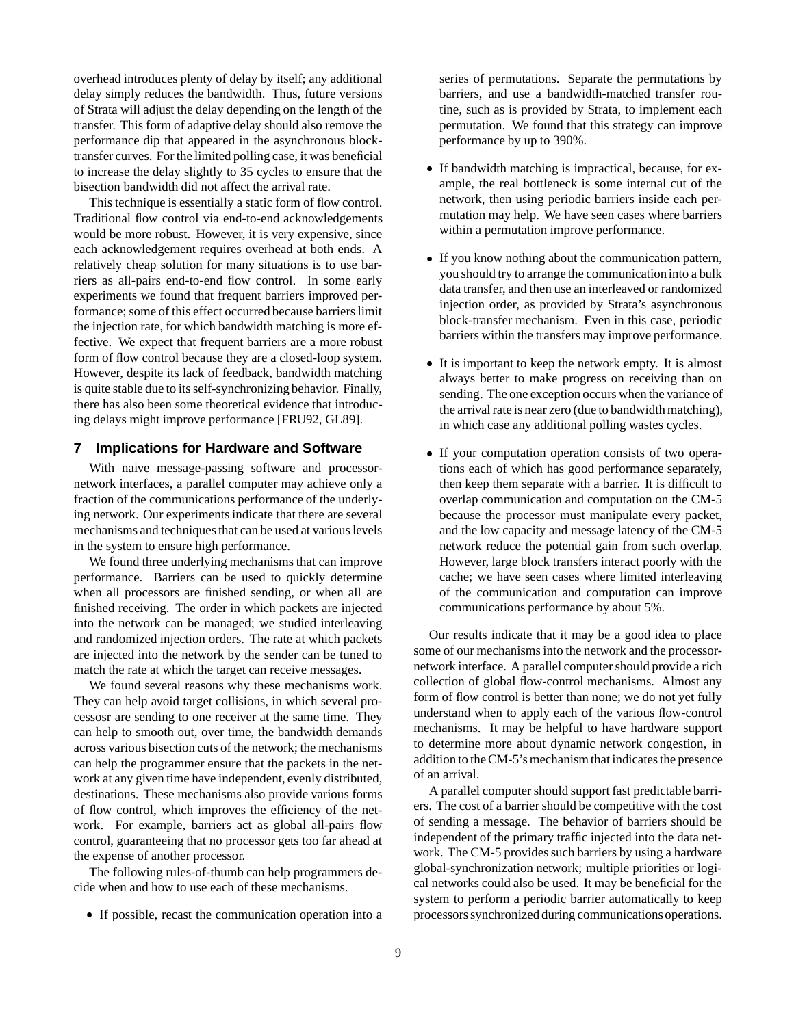overhead introduces plenty of delay by itself; any additional delay simply reduces the bandwidth. Thus, future versions of Strata will adjust the delay depending on the length of the transfer. This form of adaptive delay should also remove the performance dip that appeared in the asynchronous blocktransfer curves. For the limited polling case, it was beneficial to increase the delay slightly to 35 cycles to ensure that the bisection bandwidth did not affect the arrival rate.

This technique is essentially a static form of flow control. Traditional flow control via end-to-end acknowledgements would be more robust. However, it is very expensive, since each acknowledgement requires overhead at both ends. A relatively cheap solution for many situations is to use barriers as all-pairs end-to-end flow control. In some early experiments we found that frequent barriers improved performance; some of this effect occurred because barriers limit the injection rate, for which bandwidth matching is more effective. We expect that frequent barriers are a more robust form of flow control because they are a closed-loop system. However, despite its lack of feedback, bandwidth matching is quite stable due to its self-synchronizing behavior. Finally, there has also been some theoretical evidence that introducing delays might improve performance [FRU92, GL89].

## **7 Implications for Hardware and Software**

With naive message-passing software and processornetwork interfaces, a parallel computer may achieve only a fraction of the communications performance of the underlying network. Our experiments indicate that there are several mechanisms and techniques that can be used at various levels in the system to ensure high performance.

We found three underlying mechanisms that can improve performance. Barriers can be used to quickly determine when all processors are finished sending, or when all are finished receiving. The order in which packets are injected into the network can be managed; we studied interleaving and randomized injection orders. The rate at which packets are injected into the network by the sender can be tuned to match the rate at which the target can receive messages.

We found several reasons why these mechanisms work. They can help avoid target collisions, in which several processosr are sending to one receiver at the same time. They can help to smooth out, over time, the bandwidth demands across various bisection cuts of the network; the mechanisms can help the programmer ensure that the packets in the network at any given time have independent, evenly distributed, destinations. These mechanisms also provide various forms of flow control, which improves the efficiency of the network. For example, barriers act as global all-pairs flow control, guaranteeing that no processor gets too far ahead at the expense of another processor.

The following rules-of-thumb can help programmers decide when and how to use each of these mechanisms.

 If possible, recast the communication operation into a

series of permutations. Separate the permutations by barriers, and use a bandwidth-matched transfer routine, such as is provided by Strata, to implement each permutation. We found that this strategy can improve performance by up to 390%.

- If bandwidth matching is impractical, because, for example, the real bottleneck is some internal cut of the network, then using periodic barriers inside each permutation may help. We have seen cases where barriers within a permutation improve performance.
- If you know nothing about the communication pattern, you should try to arrange the communication into a bulk data transfer, and then use an interleaved or randomized injection order, as provided by Strata's asynchronous block-transfer mechanism. Even in this case, periodic barriers within the transfers may improve performance.
- It is important to keep the network empty. It is almost always better to make progress on receiving than on sending. The one exception occurs when the variance of the arrival rate is near zero (due to bandwidth matching), in which case any additional polling wastes cycles.
- If your computation operation consists of two operations each of which has good performance separately, then keep them separate with a barrier. It is difficult to overlap communication and computation on the CM-5 because the processor must manipulate every packet, and the low capacity and message latency of the CM-5 network reduce the potential gain from such overlap. However, large block transfers interact poorly with the cache; we have seen cases where limited interleaving of the communication and computation can improve communications performance by about 5%.

Our results indicate that it may be a good idea to place some of our mechanismsinto the network and the processornetwork interface. A parallel computer should provide a rich collection of global flow-control mechanisms. Almost any form of flow control is better than none; we do not yet fully understand when to apply each of the various flow-control mechanisms. It may be helpful to have hardware support to determine more about dynamic network congestion, in addition to the CM-5's mechanism that indicates the presence of an arrival.

A parallel computer should support fast predictable barriers. The cost of a barrier should be competitive with the cost of sending a message. The behavior of barriers should be independent of the primary traffic injected into the data network. The CM-5 provides such barriers by using a hardware global-synchronization network; multiple priorities or logical networks could also be used. It may be beneficial for the system to perform a periodic barrier automatically to keep processors synchronized during communications operations.